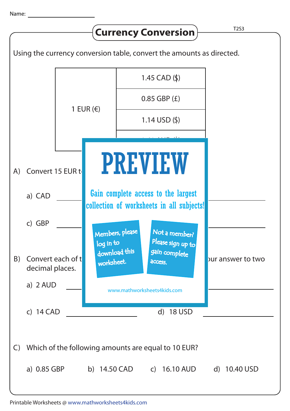